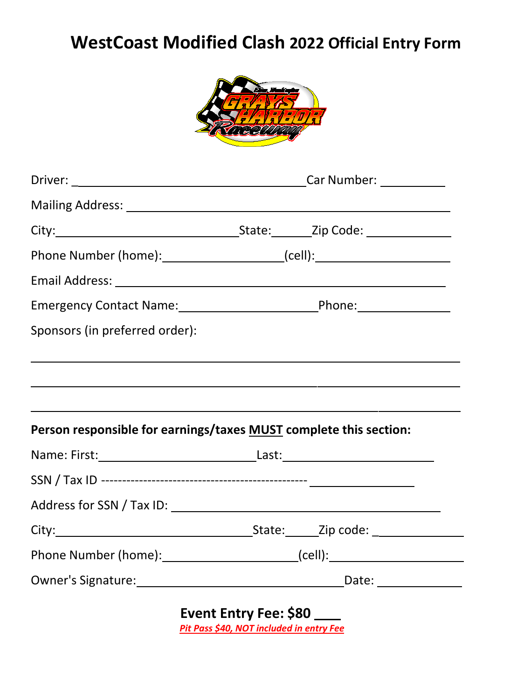# **WestCoast Modified Clash 2022 Official Entry Form**



| Phone Number (home):________________________(cell):_____________________________ |  |
|----------------------------------------------------------------------------------|--|
|                                                                                  |  |
|                                                                                  |  |
| Sponsors (in preferred order):                                                   |  |
|                                                                                  |  |
|                                                                                  |  |
|                                                                                  |  |
| Person responsible for earnings/taxes MUST complete this section:                |  |
|                                                                                  |  |
|                                                                                  |  |
|                                                                                  |  |
|                                                                                  |  |
|                                                                                  |  |
|                                                                                  |  |

**Event Entry Fee: \$80**  *Pit Pass \$40, NOT included in entry Fee*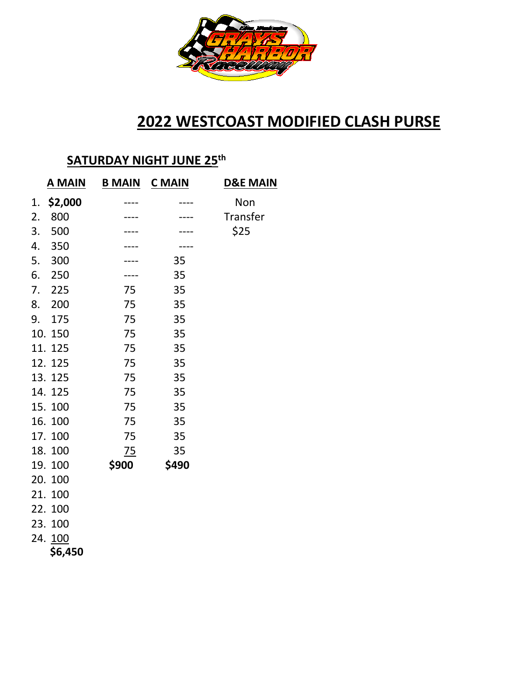

# **2022 WESTCOAST MODIFIED CLASH PURSE**

#### **SATURDAY NIGHT JUNE 25 th**

| <b>A MAIN</b> | <b>B MAIN</b> | <b>C</b> MAIN | <b>D&amp;E MAIN</b> |  |  |  |
|---------------|---------------|---------------|---------------------|--|--|--|
| \$2,000<br>1. |               |               | Non                 |  |  |  |
| 2.<br>800     |               |               | Transfer            |  |  |  |
| 3.<br>500     |               |               | \$25                |  |  |  |
| 4.<br>350     |               |               |                     |  |  |  |
| 5.<br>300     |               | 35            |                     |  |  |  |
| 6.<br>250     |               | 35            |                     |  |  |  |
| 7.<br>225     | 75            | 35            |                     |  |  |  |
| 200<br>8.     | 75            | 35            |                     |  |  |  |
| 175<br>9.     | 75            | 35            |                     |  |  |  |
| 10.<br>150    | 75            | 35            |                     |  |  |  |
| 11.<br>125    | 75            | 35            |                     |  |  |  |
| 12. 125       | 75            | 35            |                     |  |  |  |
| 13.125        | 75            | 35            |                     |  |  |  |
| 14.125        | 75            | 35            |                     |  |  |  |
| 15.100        | 75            | 35            |                     |  |  |  |
| 16. 100       | 75            | 35            |                     |  |  |  |
| 17. 100       | 75            | 35            |                     |  |  |  |
| 18.100        | 75            | 35            |                     |  |  |  |
| 19.100        | \$900         | \$490         |                     |  |  |  |
| 20. 100       |               |               |                     |  |  |  |
| 21.<br>100    |               |               |                     |  |  |  |
| 22.100        |               |               |                     |  |  |  |
| 23. 100       |               |               |                     |  |  |  |
| 24. 100       |               |               |                     |  |  |  |
| \$6,450       |               |               |                     |  |  |  |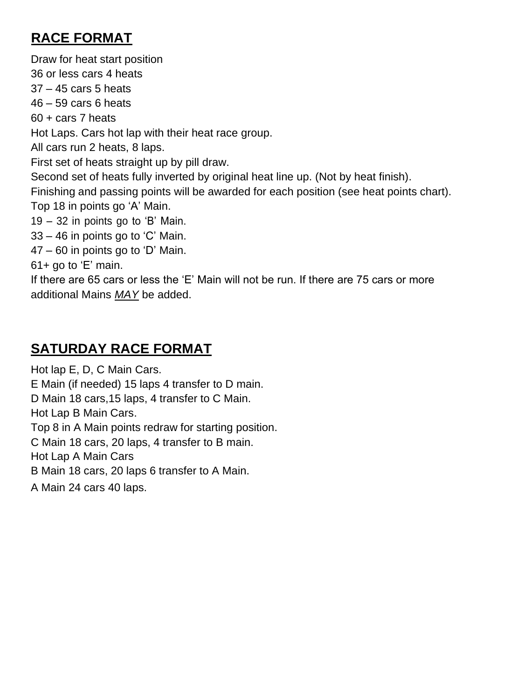### **RACE FORMAT**

Draw for heat start position 36 or less cars 4 heats 37 – 45 cars 5 heats 46 – 59 cars 6 heats 60 + cars 7 heats Hot Laps. Cars hot lap with their heat race group. All cars run 2 heats, 8 laps. First set of heats straight up by pill draw. Second set of heats fully inverted by original heat line up. (Not by heat finish). Finishing and passing points will be awarded for each position (see heat points chart). Top 18 in points go 'A' Main. 19 – 32 in points go to 'B' Main. 33 – 46 in points go to 'C' Main. 47 – 60 in points go to 'D' Main. 61+ go to 'E' main. If there are 65 cars or less the 'E' Main will not be run. If there are 75 cars or more additional Mains *MAY* be added.

### **SATURDAY RACE FORMAT**

Hot lap E, D, C Main Cars. E Main (if needed) 15 laps 4 transfer to D main. D Main 18 cars,15 laps, 4 transfer to C Main. Hot Lap B Main Cars. Top 8 in A Main points redraw for starting position. C Main 18 cars, 20 laps, 4 transfer to B main. Hot Lap A Main Cars B Main 18 cars, 20 laps 6 transfer to A Main. A Main 24 cars 40 laps.